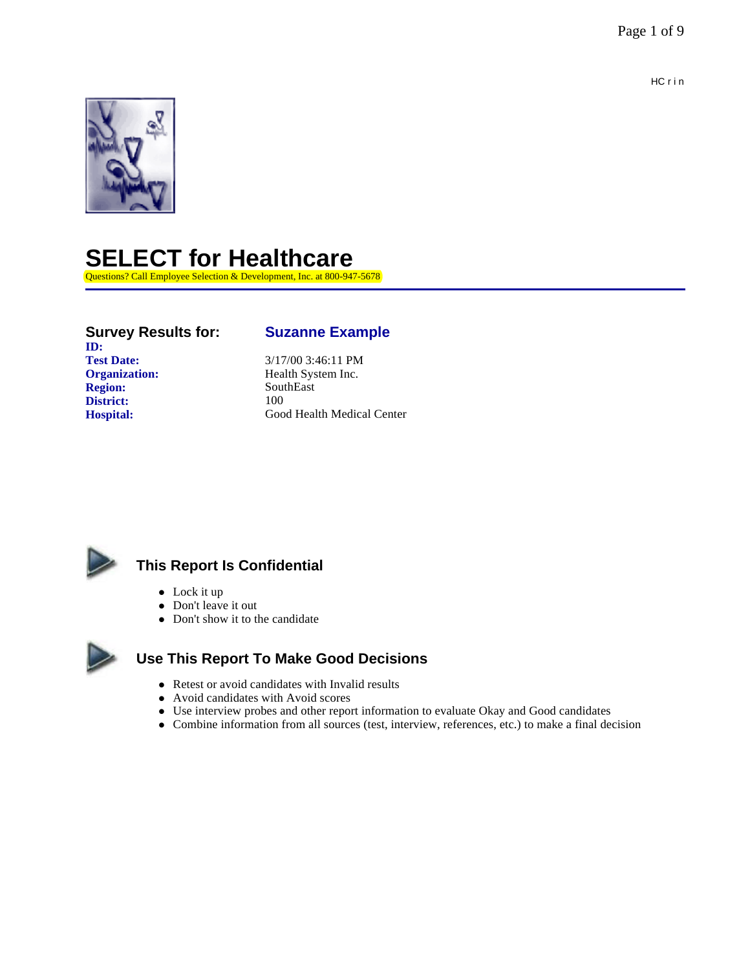

# **SELECT for Healthcare**

Questions? Call Employee Selection & Development, Inc. at 800-947-5678

# **ID:**<br>Test Date: **Organization:** Health System Inc. **Region:** SouthEast **District:** 100

## **Survey Results for: Suzanne Example**

**Test Date:** 3/17/00 3:46:11 PM **Hospital:** Good Health Medical Center



# **This Report Is Confidential**

- $\bullet$  Lock it up
- Don't leave it out
- Don't show it to the candidate



## **Use This Report To Make Good Decisions**

- Retest or avoid candidates with Invalid results
- Avoid candidates with Avoid scores
- Use interview probes and other report information to evaluate Okay and Good candidates
- l Combine information from all sources (test, interview, references, etc.) to make a final decision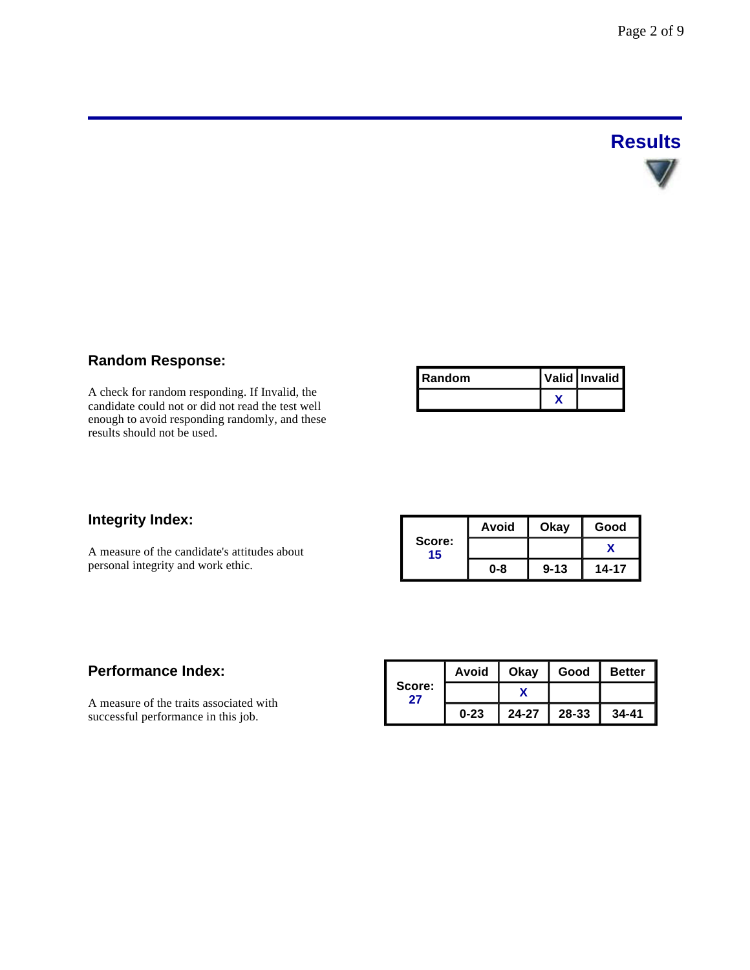# **Results**

# **Random Response:**

A check for random responding. If Invalid, the candidate could not or did not read the test well enough to avoid responding randomly, and these results should not be used.

| l Random | Valid Invalid |
|----------|---------------|
|          |               |

## **Integrity Index:**

A measure of the candidate's attitudes about personal integrity and work ethic.

|              | Avoid | Okay     | Good  |  |
|--------------|-------|----------|-------|--|
| Score:<br>15 |       |          |       |  |
|              | 0-8   | $9 - 13$ | 14-17 |  |

## **Performance Index:**

A measure of the traits associated with successful performance in this job.

|              | Avoid    | Okay      | Good  | <b>Better</b> |
|--------------|----------|-----------|-------|---------------|
| Score:<br>27 |          |           |       |               |
|              | $0 - 23$ | $24 - 27$ | 28-33 | $34 - 41$     |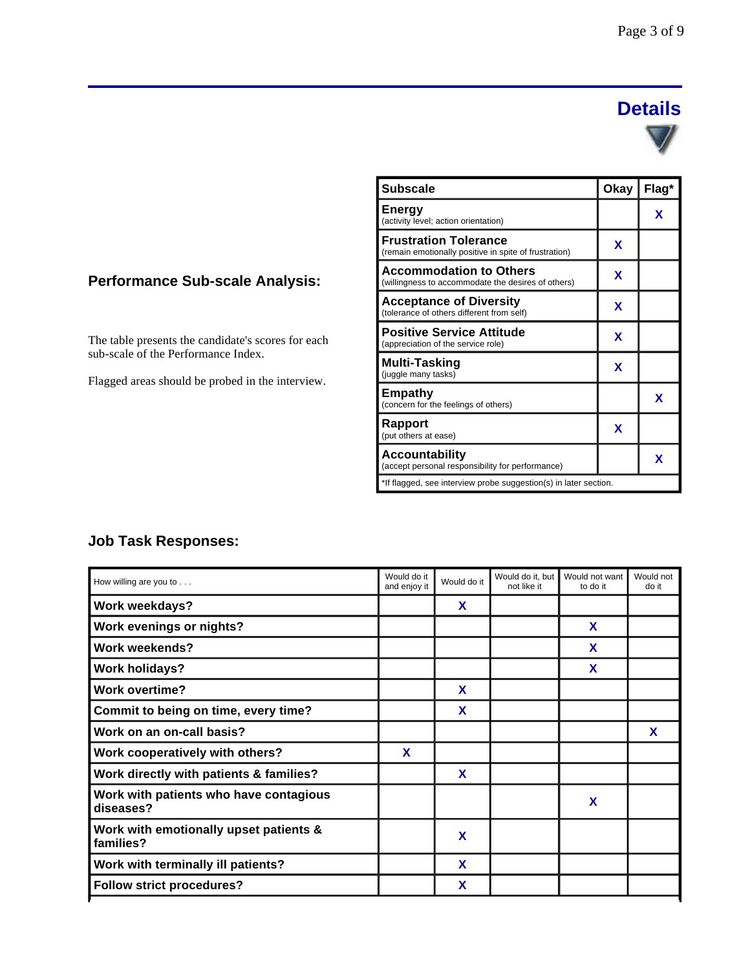# **Details**



| <b>Subscale</b>                                                                       | Okay | Flag* |
|---------------------------------------------------------------------------------------|------|-------|
| <b>Energy</b><br>(activity level; action orientation)                                 |      | x     |
| <b>Frustration Tolerance</b><br>(remain emotionally positive in spite of frustration) | x    |       |
| <b>Accommodation to Others</b><br>(willingness to accommodate the desires of others)  | x    |       |
| <b>Acceptance of Diversity</b><br>(tolerance of others different from self)           | X    |       |
| <b>Positive Service Attitude</b><br>(appreciation of the service role)                | X    |       |
| Multi-Tasking<br>(juggle many tasks)                                                  | x    |       |
| <b>Empathy</b><br>(concern for the feelings of others)                                |      | X     |
| Rapport<br>(put others at ease)                                                       | x    |       |
| <b>Accountability</b><br>(accept personal responsibility for performance)             |      | X     |
| *If flagged, see interview probe suggestion(s) in later section.                      |      |       |

# **Performance Sub-scale Analysis:**

The table presents the candidate's scores for each sub-scale of the Performance Index.

Flagged areas should be probed in the interview.

# **Job Task Responses:**

| How willing are you to $\dots$                      | Would do it<br>and enjoy it | Would do it | Would do it. but<br>not like it | Would not want<br>to do it | Would not<br>do it |
|-----------------------------------------------------|-----------------------------|-------------|---------------------------------|----------------------------|--------------------|
| Work weekdays?                                      |                             | X           |                                 |                            |                    |
| <b>Work evenings or nights?</b>                     |                             |             |                                 | X                          |                    |
| <b>Work weekends?</b>                               |                             |             |                                 | X                          |                    |
| <b>Work holidays?</b>                               |                             |             |                                 | X                          |                    |
| <b>Work overtime?</b>                               |                             | X           |                                 |                            |                    |
| Commit to being on time, every time?                |                             | X           |                                 |                            |                    |
| Work on an on-call basis?                           |                             |             |                                 |                            | X                  |
| Work cooperatively with others?                     | X                           |             |                                 |                            |                    |
| Work directly with patients & families?             |                             | X           |                                 |                            |                    |
| Work with patients who have contagious<br>diseases? |                             |             |                                 | X                          |                    |
| Work with emotionally upset patients &<br>families? |                             | X           |                                 |                            |                    |
| Work with terminally ill patients?                  |                             | X           |                                 |                            |                    |
| <b>Follow strict procedures?</b>                    |                             | X           |                                 |                            |                    |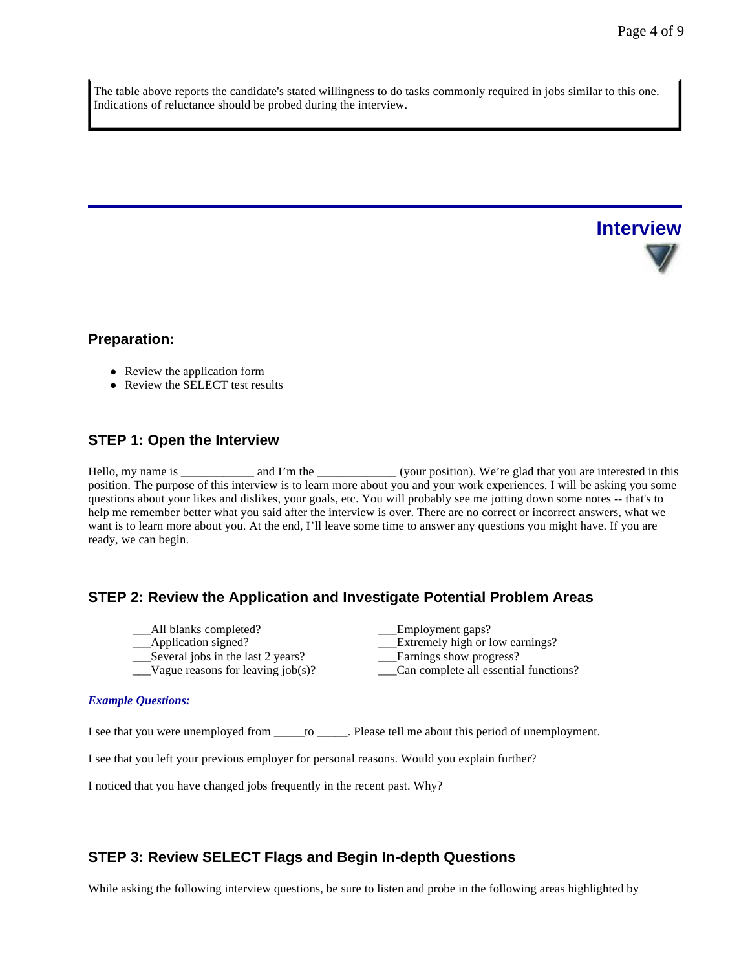**Interview**

The table above reports the candidate's stated willingness to do tasks commonly required in jobs similar to this one. Indications of reluctance should be probed during the interview.

**Preparation:**

- Review the application form
- Review the SELECT test results

#### **STEP 1: Open the Interview**

Hello, my name is \_\_\_\_\_\_\_\_\_\_\_ and I'm the \_\_\_\_\_\_\_\_\_\_\_\_\_\_(your position). We're glad that you are interested in this position. The purpose of this interview is to learn more about you and your work experiences. I will be asking you some questions about your likes and dislikes, your goals, etc. You will probably see me jotting down some notes -- that's to help me remember better what you said after the interview is over. There are no correct or incorrect answers, what we want is to learn more about you. At the end, I'll leave some time to answer any questions you might have. If you are ready, we can begin.

#### **STEP 2: Review the Application and Investigate Potential Problem Areas**

- \_\_\_All blanks completed? \_\_\_Employment gaps?
- 
- $\equiv$ Several jobs in the last 2 years?
- \_\_\_Vague reasons for leaving job(s)? \_\_\_Can complete all essential functions?
- Application signed?<br>
Several jobs in the last 2 years?<br>
Larnings show progress?

#### *Example Questions:*

I see that you were unemployed from \_\_\_\_\_to \_\_\_\_\_. Please tell me about this period of unemployment.

I see that you left your previous employer for personal reasons. Would you explain further?

I noticed that you have changed jobs frequently in the recent past. Why?

### **STEP 3: Review SELECT Flags and Begin In-depth Questions**

While asking the following interview questions, be sure to listen and probe in the following areas highlighted by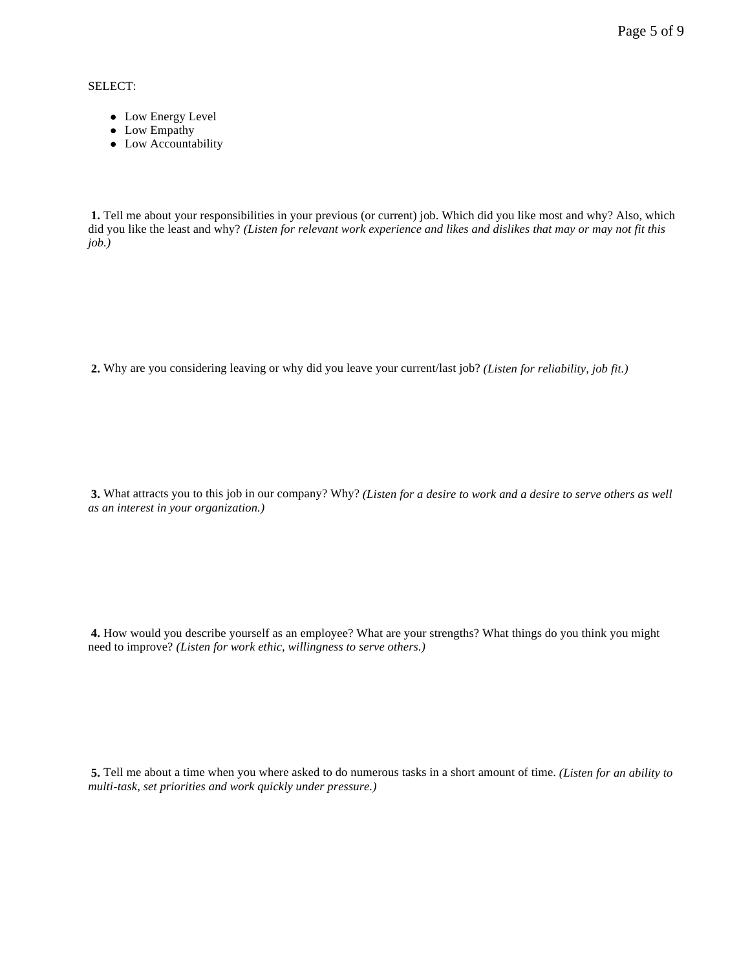Page 5 of 9

SELECT:

- Low Energy Level
- Low Empathy
- Low Accountability

**1.** Tell me about your responsibilities in your previous (or current) job. Which did you like most and why? Also, which did you like the least and why? *(Listen for relevant work experience and likes and dislikes that may or may not fit this job.)*

**2.** Why are you considering leaving or why did you leave your current/last job? *(Listen for reliability, job fit.)*

**3.** What attracts you to this job in our company? Why? *(Listen for a desire to work and a desire to serve others as well as an interest in your organization.)*

**4.** How would you describe yourself as an employee? What are your strengths? What things do you think you might need to improve? *(Listen for work ethic, willingness to serve others.)*

**5.** Tell me about a time when you where asked to do numerous tasks in a short amount of time. *(Listen for an ability to multi-task, set priorities and work quickly under pressure.)*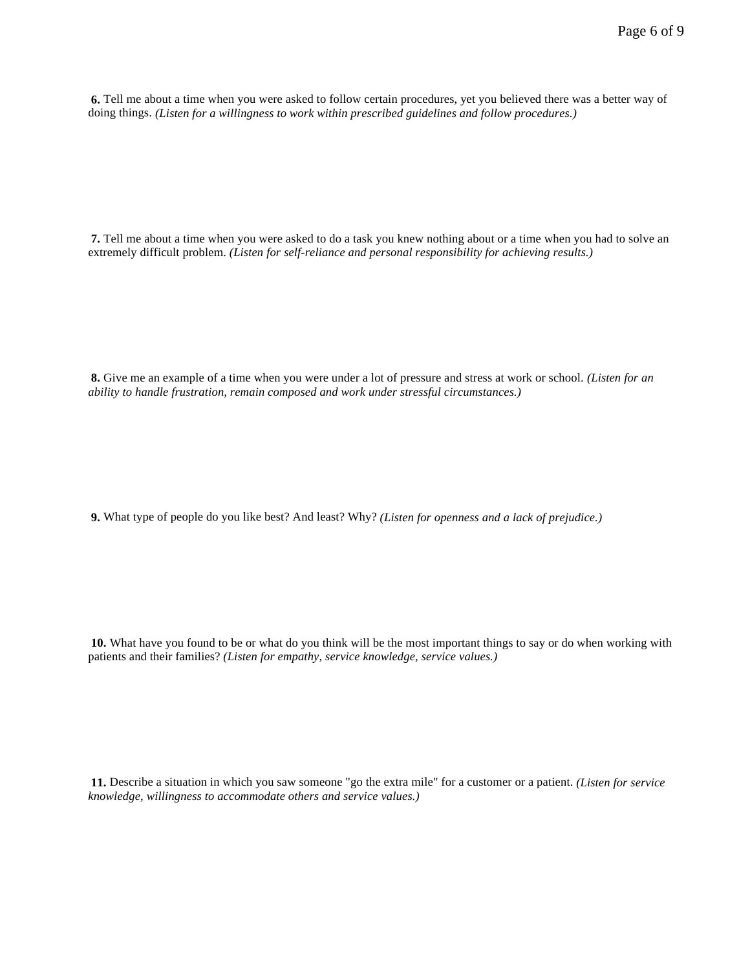**6.** Tell me about a time when you were asked to follow certain procedures, yet you believed there was a better way of doing things. *(Listen for a willingness to work within prescribed guidelines and follow procedures.)*

**7.** Tell me about a time when you were asked to do a task you knew nothing about or a time when you had to solve an extremely difficult problem. *(Listen for self-reliance and personal responsibility for achieving results.)*

**8.** Give me an example of a time when you were under a lot of pressure and stress at work or school. *(Listen for an ability to handle frustration, remain composed and work under stressful circumstances.)*

**9.** What type of people do you like best? And least? Why? *(Listen for openness and a lack of prejudice.)*

**10.** What have you found to be or what do you think will be the most important things to say or do when working with patients and their families? *(Listen for empathy, service knowledge, service values.)*

**11.** Describe a situation in which you saw someone "go the extra mile" for a customer or a patient. *(Listen for service knowledge, willingness to accommodate others and service values.)*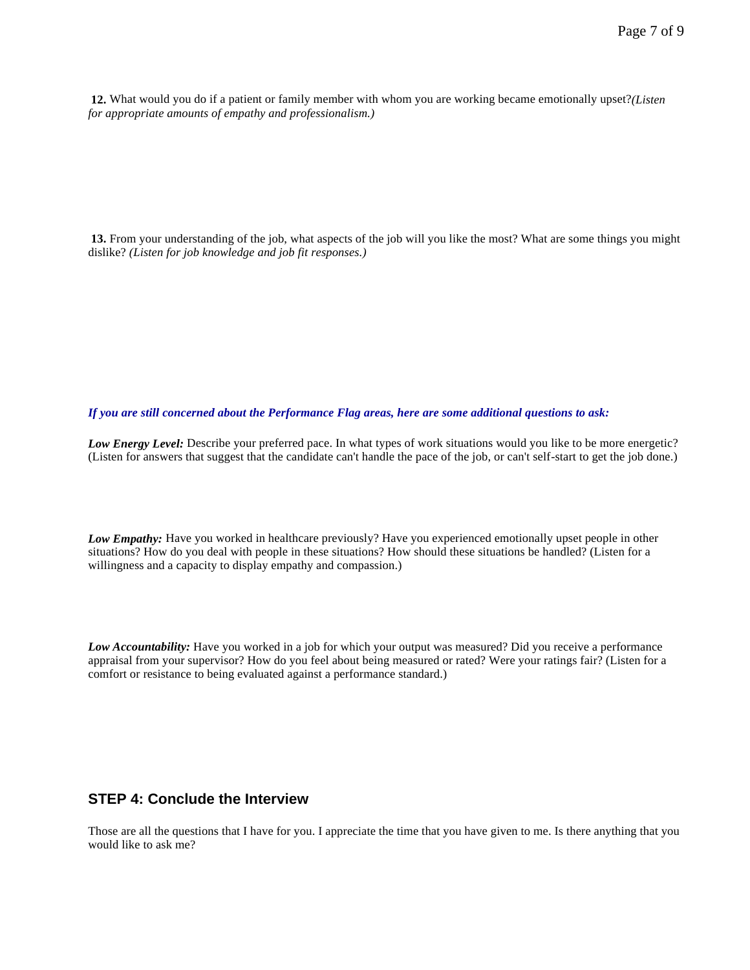**12.** What would you do if a patient or family member with whom you are working became emotionally upset?*(Listen for appropriate amounts of empathy and professionalism.)*

**13.** From your understanding of the job, what aspects of the job will you like the most? What are some things you might dislike? *(Listen for job knowledge and job fit responses.)*

*If you are still concerned about the Performance Flag areas, here are some additional questions to ask:*

*Low Energy Level:* Describe your preferred pace. In what types of work situations would you like to be more energetic? (Listen for answers that suggest that the candidate can't handle the pace of the job, or can't self-start to get the job done.)

*Low Empathy:* Have you worked in healthcare previously? Have you experienced emotionally upset people in other situations? How do you deal with people in these situations? How should these situations be handled? (Listen for a willingness and a capacity to display empathy and compassion.)

*Low Accountability:* Have you worked in a job for which your output was measured? Did you receive a performance appraisal from your supervisor? How do you feel about being measured or rated? Were your ratings fair? (Listen for a comfort or resistance to being evaluated against a performance standard.)

#### **STEP 4: Conclude the Interview**

Those are all the questions that I have for you. I appreciate the time that you have given to me. Is there anything that you would like to ask me?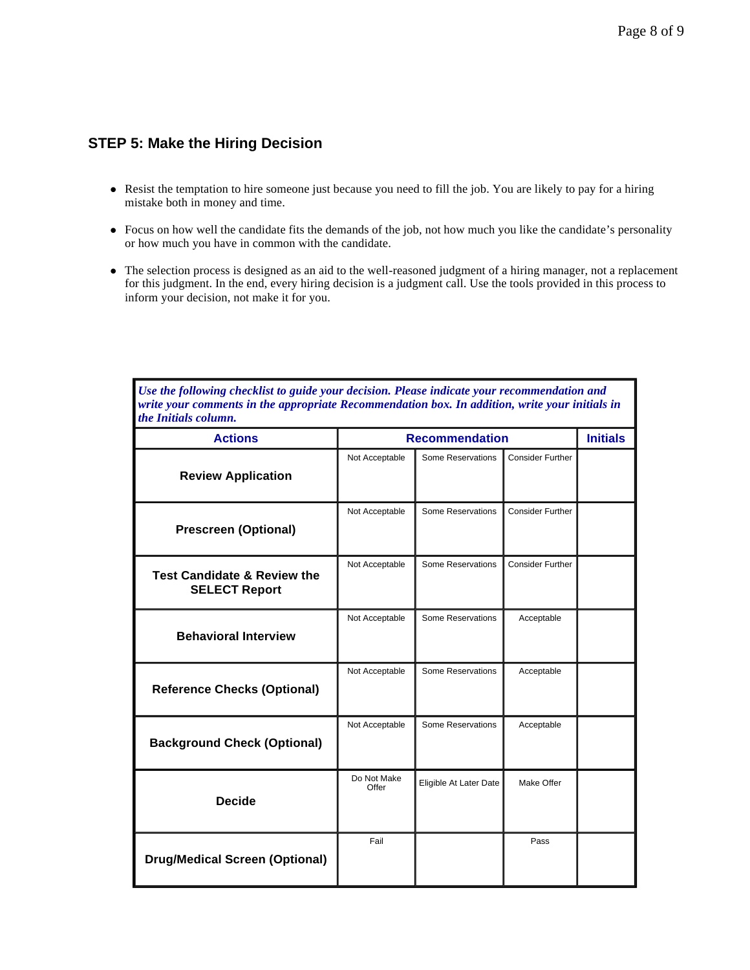## **STEP 5: Make the Hiring Decision**

- Resist the temptation to hire someone just because you need to fill the job. You are likely to pay for a hiring mistake both in money and time.
- Focus on how well the candidate fits the demands of the job, not how much you like the candidate's personality or how much you have in common with the candidate.
- l The selection process is designed as an aid to the well-reasoned judgment of a hiring manager, not a replacement for this judgment. In the end, every hiring decision is a judgment call. Use the tools provided in this process to inform your decision, not make it for you.

*Use the following checklist to guide your decision. Please indicate your recommendation and write your comments in the appropriate Recommendation box. In addition, write your initials in the Initials column.*

| <b>Actions</b>                                                 | <b>Recommendation</b> | <b>Initials</b>        |                         |  |
|----------------------------------------------------------------|-----------------------|------------------------|-------------------------|--|
| <b>Review Application</b>                                      | Not Acceptable        | Some Reservations      | <b>Consider Further</b> |  |
| <b>Prescreen (Optional)</b>                                    | Not Acceptable        | Some Reservations      | <b>Consider Further</b> |  |
| <b>Test Candidate &amp; Review the</b><br><b>SELECT Report</b> | Not Acceptable        | Some Reservations      | <b>Consider Further</b> |  |
| <b>Behavioral Interview</b>                                    | Not Acceptable        | Some Reservations      | Acceptable              |  |
| <b>Reference Checks (Optional)</b>                             | Not Acceptable        | Some Reservations      | Acceptable              |  |
| <b>Background Check (Optional)</b>                             | Not Acceptable        | Some Reservations      | Acceptable              |  |
| <b>Decide</b>                                                  | Do Not Make<br>Offer  | Eligible At Later Date | Make Offer              |  |
| <b>Drug/Medical Screen (Optional)</b>                          | Fail                  |                        | Pass                    |  |